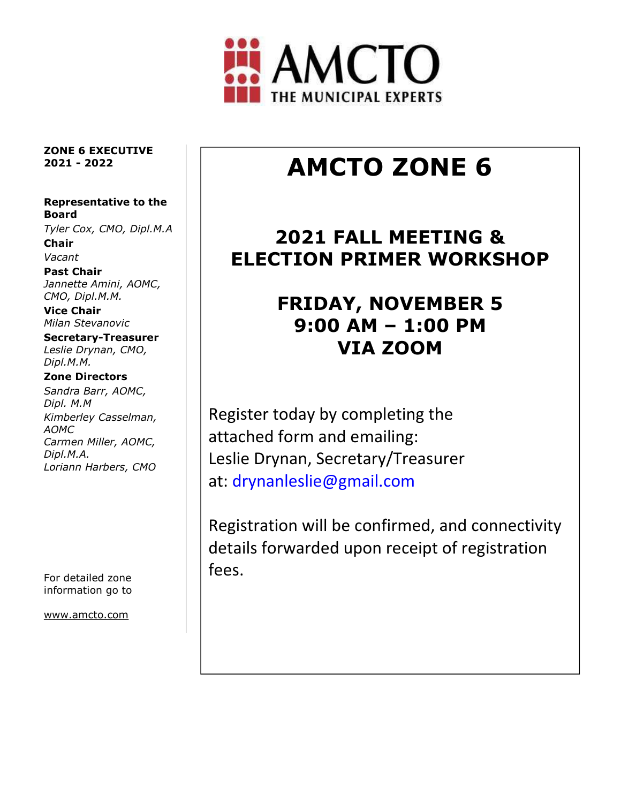

 ZONE 6 EXECUTIVE 2021 - 2022

#### Representative to the Board

Tyler Cox, CMO, Dipl.M.A Chair

Vacant

Past Chair Jannette Amini, AOMC, CMO, Dipl.M.M.

Vice Chair Milan Stevanovic

Secretary-Treasurer Leslie Drynan, CMO, Dipl.M.M.

### Zone Directors

Sandra Barr, AOMC, Dipl. M.M Kimberley Casselman, AOMC Carmen Miller, AOMC, Dipl.M.A. Loriann Harbers, CMO

For detailed zone information go to

www.amcto.com

# AMCTO ZONE 6

### 2021 FALL MEETING & ELECTION PRIMER WORKSHOP

## FRIDAY, NOVEMBER 5 9:00 AM – 1:00 PM VIA ZOOM

Register today by completing the attached form and emailing: Leslie Drynan, Secretary/Treasurer at: drynanleslie@gmail.com

Registration will be confirmed, and connectivity details forwarded upon receipt of registration fees.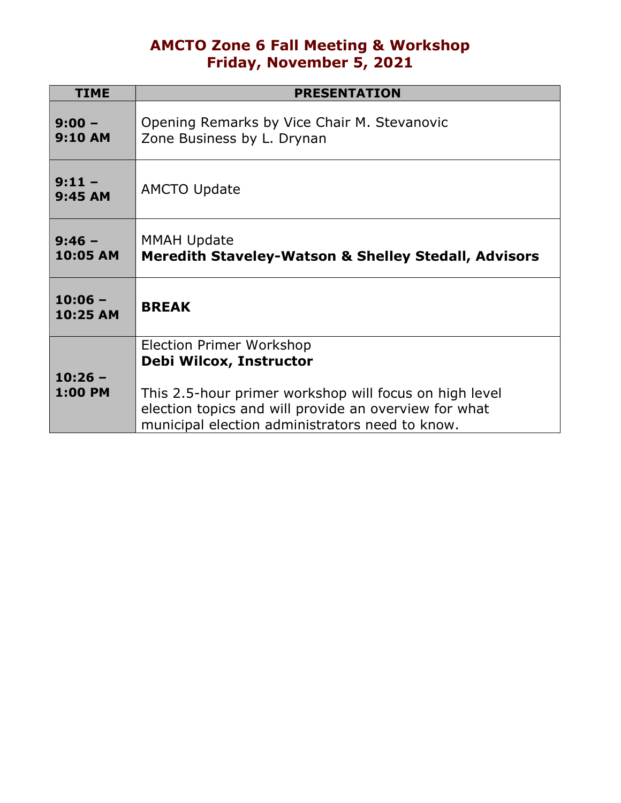### AMCTO Zone 6 Fall Meeting & Workshop Friday, November 5, 2021

| <b>TIME</b>                 | <b>PRESENTATION</b>                                                                                                                                                |  |  |  |
|-----------------------------|--------------------------------------------------------------------------------------------------------------------------------------------------------------------|--|--|--|
| $9:00 -$<br><b>9:10 AM</b>  | Opening Remarks by Vice Chair M. Stevanovic<br>Zone Business by L. Drynan                                                                                          |  |  |  |
| $9:11 -$<br>9:45 AM         | <b>AMCTO Update</b>                                                                                                                                                |  |  |  |
| $9:46 -$<br>10:05 AM        | <b>MMAH Update</b><br><b>Meredith Staveley-Watson &amp; Shelley Stedall, Advisors</b>                                                                              |  |  |  |
| $10:06 -$<br>10:25 AM       | <b>BREAK</b>                                                                                                                                                       |  |  |  |
|                             | <b>Election Primer Workshop</b>                                                                                                                                    |  |  |  |
|                             | Debi Wilcox, Instructor                                                                                                                                            |  |  |  |
| $10:26 -$<br><b>1:00 PM</b> | This 2.5-hour primer workshop will focus on high level<br>election topics and will provide an overview for what<br>municipal election administrators need to know. |  |  |  |